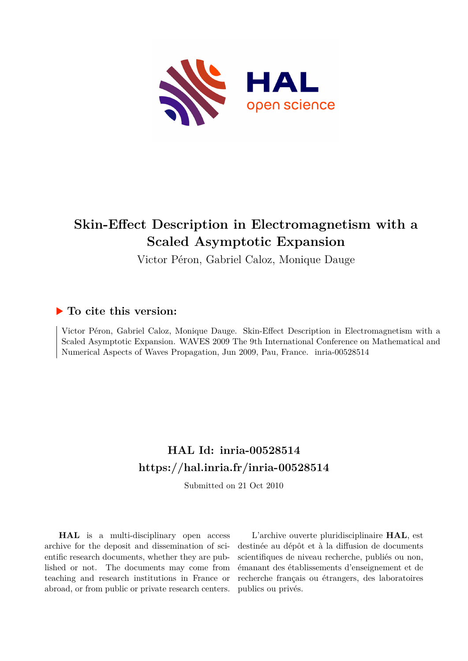

# **Skin-Effect Description in Electromagnetism with a Scaled Asymptotic Expansion**

Victor Péron, Gabriel Caloz, Monique Dauge

## **To cite this version:**

Victor Péron, Gabriel Caloz, Monique Dauge. Skin-Effect Description in Electromagnetism with a Scaled Asymptotic Expansion. WAVES 2009 The 9th International Conference on Mathematical and Numerical Aspects of Waves Propagation, Jun 2009, Pau, France. inria-00528514

# **HAL Id: inria-00528514 <https://hal.inria.fr/inria-00528514>**

Submitted on 21 Oct 2010

**HAL** is a multi-disciplinary open access archive for the deposit and dissemination of scientific research documents, whether they are published or not. The documents may come from teaching and research institutions in France or abroad, or from public or private research centers.

L'archive ouverte pluridisciplinaire **HAL**, est destinée au dépôt et à la diffusion de documents scientifiques de niveau recherche, publiés ou non, émanant des établissements d'enseignement et de recherche français ou étrangers, des laboratoires publics ou privés.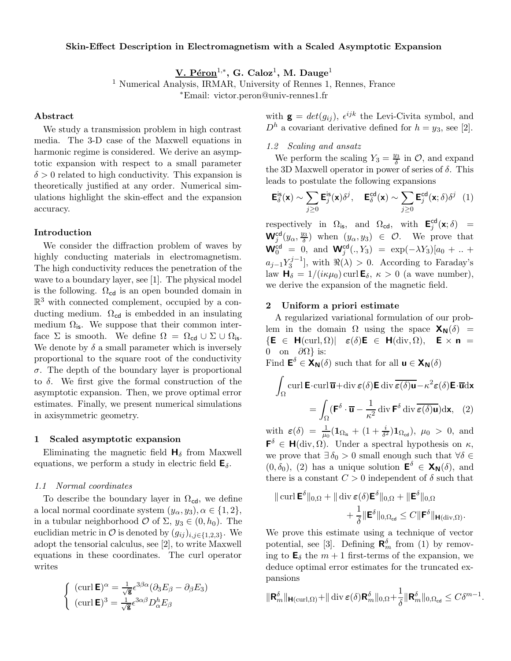#### Skin-Effect Description in Electromagnetism with a Scaled Asymptotic Expansion

 $\rm V.~P\acute{e}ron^{1,\ast},~G.~Caloz^1,~M.~Dauge^1$ 

<sup>1</sup> Numerical Analysis, IRMAR, University of Rennes 1, Rennes, France

∗Email: victor.peron@univ-rennes1.fr

#### Abstract

We study a transmission problem in high contrast media. The 3-D case of the Maxwell equations in harmonic regime is considered. We derive an asymptotic expansion with respect to a small parameter  $\delta > 0$  related to high conductivity. This expansion is theoretically justified at any order. Numerical simulations highlight the skin-effect and the expansion accuracy.

#### Introduction

We consider the diffraction problem of waves by highly conducting materials in electromagnetism. The high conductivity reduces the penetration of the wave to a boundary layer, see [1]. The physical model is the following.  $\Omega_{\text{cd}}$  is an open bounded domain in  $\mathbb{R}^3$  with connected complement, occupied by a conducting medium.  $\Omega_{\text{cd}}$  is embedded in an insulating medium  $\Omega_{\text{is}}$ . We suppose that their common interface  $\Sigma$  is smooth. We define  $\Omega = \Omega_{\text{cd}} \cup \Sigma \cup \Omega_{\text{is}}$ . We denote by  $\delta$  a small parameter which is inversely proportional to the square root of the conductivity  $\sigma$ . The depth of the boundary layer is proportional to  $\delta$ . We first give the formal construction of the asymptotic expansion. Then, we prove optimal error estimates. Finally, we present numerical simulations in axisymmetric geometry.

#### 1 Scaled asymptotic expansion

Eliminating the magnetic field  $H_{\delta}$  from Maxwell equations, we perform a study in electric field  $\mathsf{E}_{\delta}$ .

#### 1.1 Normal coordinates

To describe the boundary layer in  $\Omega_{\text{cd}}$ , we define a local normal coordinate system  $(y_\alpha, y_3), \alpha \in \{1, 2\},\$ in a tubular neighborhood  $\mathcal O$  of  $\Sigma$ ,  $y_3 \in (0, h_0)$ . The euclidian metric in  $\mathcal O$  is denoted by  $(g_{ij})_{i,j\in\{1,2,3\}}$ . We adopt the tensorial calculus, see [2], to write Maxwell equations in these coordinates. The curl operator writes

$$
\begin{cases} (\operatorname{curl} \mathbf{E})^{\alpha} = \frac{1}{\sqrt{\mathbf{g}}} \epsilon^{3\beta\alpha} (\partial_3 E_{\beta} - \partial_{\beta} E_3) \\ (\operatorname{curl} \mathbf{E})^3 = \frac{1}{\sqrt{\mathbf{g}}} \epsilon^{3\alpha\beta} D_{\alpha}^h E_{\beta} \end{cases}
$$

with  $\mathbf{g} = det(g_{ij}), \ \epsilon^{ijk}$  the Levi-Civita symbol, and  $D<sup>h</sup>$  a covariant derivative defined for  $h = y_3$ , see [2].

### 1.2 Scaling and ansatz

We perform the scaling  $Y_3 = \frac{y_3}{\delta}$  $\frac{y_3}{\delta}$  in  $\mathcal{O}$ , and expand the 3D Maxwell operator in power of series of  $\delta$ . This leads to postulate the following expansions

$$
\mathbf{E}_{\delta}^{\text{is}}(\mathbf{x}) \sim \sum_{j\geq 0} \mathbf{E}_{j}^{\text{is}}(\mathbf{x}) \delta^{j}, \quad \mathbf{E}_{\delta}^{\text{cd}}(\mathbf{x}) \sim \sum_{j\geq 0} \mathbf{E}_{j}^{\text{cd}}(\mathbf{x}; \delta) \delta^{j} \quad (1)
$$

respectively in  $\Omega_{\text{is}}$ , and  $\Omega_{\text{cd}}$ , with  $\mathbf{E}_{i}^{\text{cd}}$  $_j^{\mathsf{cd}}(\mathsf{x};\delta)$  =  $\textbf{W}_j^{\text{cd}}(y_\alpha,\frac{y_3}{\delta})$  $\left(\frac{y_3}{\delta}\right)$  when  $(y_\alpha, y_3) \in \mathcal{O}$ . We prove that  ${\bf W}^{\bf cd}_0 = [0, \text{ and } {\bf W}^{\bf cd}_j(., Y_3) = \exp(-\lambda Y_3)[a_0 + .. +$  $a_{j-1}Y_3^{j-1}$ , with  $\Re(\lambda) > 0$ . According to Faraday's law  $\mathbf{H}_{\delta} = 1/(i\kappa\mu_0)$  curl  $\mathbf{E}_{\delta}$ ,  $\kappa > 0$  (a wave number), we derive the expansion of the magnetic field.

### 2 Uniform a priori estimate

A regularized variational formulation of our problem in the domain  $\Omega$  using the space  $\mathsf{X}_{\mathsf{N}}(\delta)$  =  $\{E \in H(\text{curl}, \Omega) | \ \epsilon(\delta)E \in H(\text{div}, \Omega), \ E \times n =$ 0 on  $\partial\Omega$ } is:

Find  $\mathbf{E}^{\delta} \in \mathbf{X}_{\mathbf{N}}(\delta)$  such that for all  $\mathbf{u} \in \mathbf{X}_{\mathbf{N}}(\delta)$ 

$$
\int_{\Omega} \operatorname{curl} \mathbf{E} \cdot \operatorname{curl} \overline{\mathbf{u}} + \operatorname{div} \boldsymbol{\varepsilon}(\delta) \mathbf{E} \operatorname{div} \overline{\boldsymbol{\varepsilon}(\delta) \mathbf{u}} - \kappa^2 \boldsymbol{\varepsilon}(\delta) \mathbf{E} \cdot \overline{\mathbf{u}} \mathrm{d} \mathbf{x}
$$
\n
$$
= \int_{\Omega} (\mathbf{F}^{\delta} \cdot \overline{\mathbf{u}} - \frac{1}{\kappa^2} \operatorname{div} \mathbf{F}^{\delta} \operatorname{div} \overline{\boldsymbol{\varepsilon}(\delta) \mathbf{u}}) \mathrm{d} \mathbf{x}, \quad (2)
$$

with  $\varepsilon(\delta) = \frac{1}{\mu_0} (\mathbf{1}_{\Omega_{\text{is}}} + (1 + \frac{i}{\delta^2}))$  $\frac{i}{\delta^2}$ )**1**<sub> $\Omega_{\text{cd}}$ </sub>),  $\mu_0 > 0$ , and  $\mathbf{F}^{\delta} \in \mathbf{H}(\text{div}, \Omega)$ . Under a spectral hypothesis on  $\kappa$ , we prove that  $\exists \delta_0 > 0$  small enough such that  $\forall \delta \in$  $(0, \delta_0)$ , (2) has a unique solution  $\mathbf{E}^{\delta} \in \mathbf{X}_{\mathbf{N}}(\delta)$ , and there is a constant  $C > 0$  independent of  $\delta$  such that

$$
\|\operatorname{curl} \mathbf{E}^{\delta}\|_{0,\Omega} + \|\operatorname{div} \boldsymbol{\varepsilon}(\delta) \mathbf{E}^{\delta}\|_{0,\Omega} + \|\mathbf{E}^{\delta}\|_{0,\Omega} + \frac{1}{\delta} \|\mathbf{E}^{\delta}\|_{0,\Omega_{\text{cd}}} \leq C \|\mathbf{F}^{\delta}\|_{\mathbf{H}(\operatorname{div},\Omega)}.
$$

We prove this estimate using a technique of vector potential, see [3]. Defining  $\mathbf{R}_m^{\delta}$  from (1) by removing to  $\mathbf{E}_{\delta}$  the  $m+1$  first-terms of the expansion, we deduce optimal error estimates for the truncated expansions

$$
\|\mathbf{R}_m^{\delta}\|_{\mathbf{H}(\operatorname{curl},\Omega)} + \|\operatorname{div}\boldsymbol{\varepsilon}(\delta)\mathbf{R}_m^{\delta}\|_{0,\Omega} + \frac{1}{\delta}\|\mathbf{R}_m^{\delta}\|_{0,\Omega_{\text{cd}}} \leq C\delta^{m-1}
$$

.